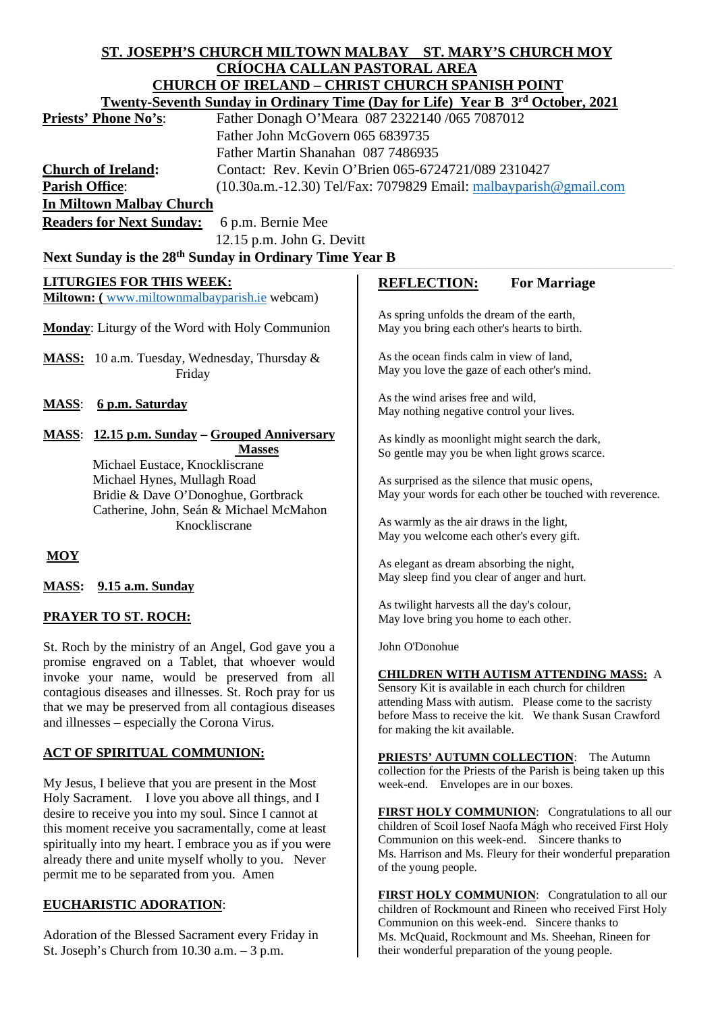# **ST. JOSEPH'S CHURCH MILTOWN MALBAY ST. MARY'S CHURCH MOY CRÍOCHA CALLAN PASTORAL AREA**

|                                                                                                                                                 | <b>CHURCH OF IRELAND - CHRIST CHURCH SPANISH POINT</b>                         |                                                                                                                    |                                                                 |
|-------------------------------------------------------------------------------------------------------------------------------------------------|--------------------------------------------------------------------------------|--------------------------------------------------------------------------------------------------------------------|-----------------------------------------------------------------|
|                                                                                                                                                 | Twenty-Seventh Sunday in Ordinary Time (Day for Life) Year B 3rd October, 2021 |                                                                                                                    |                                                                 |
| <b>Priests' Phone No's:</b>                                                                                                                     | Father Donagh O'Meara 087 2322140 /065 7087012                                 |                                                                                                                    |                                                                 |
|                                                                                                                                                 | Father John McGovern 065 6839735                                               |                                                                                                                    |                                                                 |
|                                                                                                                                                 | Father Martin Shanahan 087 7486935                                             |                                                                                                                    |                                                                 |
| <b>Church of Ireland:</b>                                                                                                                       |                                                                                | Contact: Rev. Kevin O'Brien 065-6724721/089 2310427                                                                |                                                                 |
| <b>Parish Office:</b><br>(10.30a.m.-12.30) Tel/Fax: 7079829 Email: malbayparish@gmail.com                                                       |                                                                                |                                                                                                                    |                                                                 |
| <b>In Miltown Malbay Church</b>                                                                                                                 |                                                                                |                                                                                                                    |                                                                 |
| <b>Readers for Next Sunday:</b>                                                                                                                 | 6 p.m. Bernie Mee                                                              |                                                                                                                    |                                                                 |
|                                                                                                                                                 | 12.15 p.m. John G. Devitt                                                      |                                                                                                                    |                                                                 |
| Next Sunday is the 28th Sunday in Ordinary Time Year B                                                                                          |                                                                                |                                                                                                                    |                                                                 |
|                                                                                                                                                 |                                                                                |                                                                                                                    |                                                                 |
| <b>LITURGIES FOR THIS WEEK:</b>                                                                                                                 |                                                                                | <b>REFLECTION:</b>                                                                                                 | <b>For Marriage</b>                                             |
| Miltown: (www.miltownmalbayparish.ie webcam)                                                                                                    |                                                                                | As spring unfolds the dream of the earth,<br>May you bring each other's hearts to birth.                           |                                                                 |
| Monday: Liturgy of the Word with Holy Communion                                                                                                 |                                                                                |                                                                                                                    |                                                                 |
| MASS: 10 a.m. Tuesday, Wednesday, Thursday &<br>Friday                                                                                          |                                                                                | As the ocean finds calm in view of land,                                                                           |                                                                 |
|                                                                                                                                                 |                                                                                | May you love the gaze of each other's mind.                                                                        |                                                                 |
|                                                                                                                                                 |                                                                                |                                                                                                                    |                                                                 |
| <b>MASS:</b><br>6 p.m. Saturday                                                                                                                 |                                                                                | As the wind arises free and wild,<br>May nothing negative control your lives.                                      |                                                                 |
|                                                                                                                                                 |                                                                                |                                                                                                                    |                                                                 |
| <b>MASS:</b> 12.15 p.m. Sunday – Grouped Anniversary                                                                                            |                                                                                | As kindly as moonlight might search the dark,                                                                      |                                                                 |
|                                                                                                                                                 | <b>Masses</b>                                                                  | So gentle may you be when light grows scarce.                                                                      |                                                                 |
| Michael Eustace, Knockliscrane<br>Michael Hynes, Mullagh Road<br>Bridie & Dave O'Donoghue, Gortbrack<br>Catherine, John, Seán & Michael McMahon |                                                                                |                                                                                                                    |                                                                 |
|                                                                                                                                                 |                                                                                | As surprised as the silence that music opens,<br>May your words for each other be touched with reverence.          |                                                                 |
|                                                                                                                                                 |                                                                                |                                                                                                                    |                                                                 |
|                                                                                                                                                 | Knockliscrane                                                                  | As warmly as the air draws in the light,                                                                           |                                                                 |
|                                                                                                                                                 |                                                                                | May you welcome each other's every gift.                                                                           |                                                                 |
| <b>MOY</b>                                                                                                                                      |                                                                                |                                                                                                                    |                                                                 |
|                                                                                                                                                 |                                                                                | As elegant as dream absorbing the night,<br>May sleep find you clear of anger and hurt.                            |                                                                 |
| 9.15 a.m. Sunday<br><b>MASS:</b>                                                                                                                |                                                                                |                                                                                                                    |                                                                 |
| <b>PRAYER TO ST. ROCH:</b>                                                                                                                      |                                                                                | As twilight harvests all the day's colour,<br>May love bring you home to each other.                               |                                                                 |
|                                                                                                                                                 |                                                                                |                                                                                                                    |                                                                 |
| promise engraved on a Tablet, that whoever would                                                                                                |                                                                                |                                                                                                                    |                                                                 |
| invoke your name, would be preserved from all                                                                                                   |                                                                                | <b>CHILDREN WITH AUTISM ATTENDING MASS: A</b>                                                                      |                                                                 |
| contagious diseases and illnesses. St. Roch pray for us                                                                                         |                                                                                |                                                                                                                    | Sensory Kit is available in each church for children            |
| that we may be preserved from all contagious diseases                                                                                           |                                                                                | attending Mass with autism. Please come to the sacristy<br>before Mass to receive the kit. We thank Susan Crawford |                                                                 |
| and illnesses – especially the Corona Virus.                                                                                                    |                                                                                | for making the kit available.                                                                                      |                                                                 |
|                                                                                                                                                 |                                                                                |                                                                                                                    |                                                                 |
| ACT OF SPIRITUAL COMMUNION:                                                                                                                     |                                                                                | <b>PRIESTS' AUTUMN COLLECTION:</b>                                                                                 | The Autumn                                                      |
| My Jesus, I believe that you are present in the Most                                                                                            |                                                                                | week-end. Envelopes are in our boxes.                                                                              | collection for the Priests of the Parish is being taken up this |
| Holy Sacrament. I love you above all things, and I                                                                                              |                                                                                |                                                                                                                    |                                                                 |
| desire to receive you into my soul. Since I cannot at                                                                                           |                                                                                |                                                                                                                    | FIRST HOLY COMMUNION: Congratulations to all our                |
| this moment receive you sacramentally, come at least                                                                                            |                                                                                |                                                                                                                    | children of Scoil Iosef Naofa Mágh who received First Holy      |
| spiritually into my heart. I embrace you as if you were                                                                                         |                                                                                |                                                                                                                    | Communion on this week-end. Sincere thanks to                   |
| already there and unite myself wholly to you. Never                                                                                             |                                                                                |                                                                                                                    | Ms. Harrison and Ms. Fleury for their wonderful preparation     |
| permit me to be separated from you. Amen                                                                                                        |                                                                                | of the young people.                                                                                               |                                                                 |

FIRST HOLY COMMUNION: Congratulation to all our children of Rockmount and Rineen who received First Holy Communion on this week-end. Sincere thanks to Ms. McQuaid, Rockmount and Ms. Sheehan, Rineen for their wonderful preparation of the young people.

# **EUCHARISTIC ADORATION**:

Adoration of the Blessed Sacrament every Friday in St. Joseph's Church from 10.30 a.m. – 3 p.m.